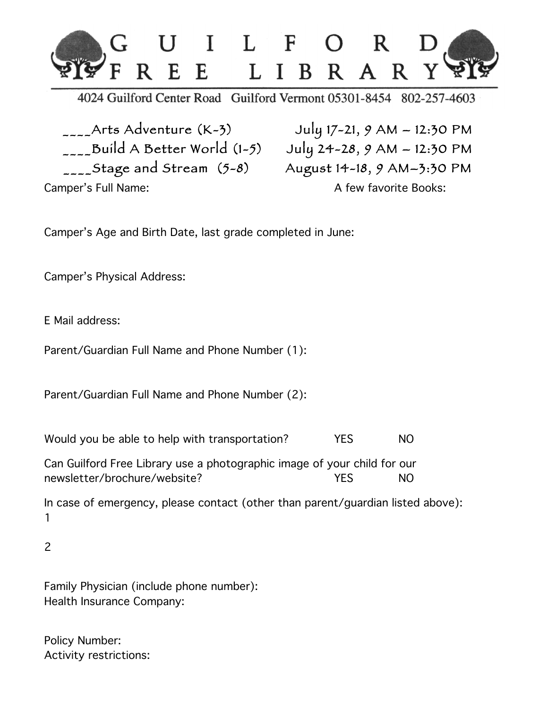

4024 Guilford Center Road Guilford Vermont 05301-8454 802-257-4603

 $\sum_{n=-\infty}$ Arts Adventure (K-3) July 17-21, 9 AM - 12:30 PM  $\frac{1}{20}$ Build A Better World (1-5) July 24-28, 9 AM - 12:30 PM  $\frac{1}{20}$ Stage and Stream (5-8) August 14-18, 9 AM-3:30 PM Camper's Full Name: Camper's Full Name:

Camper's Age and Birth Date, last grade completed in June:

Camper's Physical Address:

E Mail address:

Parent/Guardian Full Name and Phone Number (1):

Parent/Guardian Full Name and Phone Number (2):

Would you be able to help with transportation? YES NO

Can Guilford Free Library use a photographic image of your child for our newsletter/brochure/website? The Most Constant of the Most Constant of the Most Constant Oriental Andrew Most

In case of emergency, please contact (other than parent/guardian listed above): 1

2

Family Physician (include phone number): Health Insurance Company:

Policy Number: Activity restrictions: